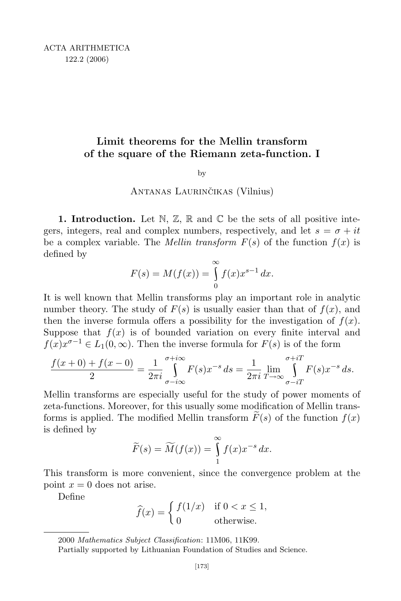# Limit theorems for the Mellin transform of the square of the Riemann zeta-function. I

by

## ANTANAS LAURINČIKAS (Vilnius)

**1. Introduction.** Let  $\mathbb{N}, \mathbb{Z}, \mathbb{R}$  and  $\mathbb{C}$  be the sets of all positive integers, integers, real and complex numbers, respectively, and let  $s = \sigma + it$ be a complex variable. The *Mellin transform*  $F(s)$  of the function  $f(x)$  is defined by

$$
F(s) = M(f(x)) = \int_{0}^{\infty} f(x) x^{s-1} dx.
$$

It is well known that Mellin transforms play an important role in analytic number theory. The study of  $F(s)$  is usually easier than that of  $f(x)$ , and then the inverse formula offers a possibility for the investigation of  $f(x)$ . Suppose that  $f(x)$  is of bounded variation on every finite interval and  $f(x)x^{\sigma-1} \in L_1(0,\infty)$ . Then the inverse formula for  $F(s)$  is of the form

$$
\frac{f(x+0)+f(x-0)}{2} = \frac{1}{2\pi i} \int_{\sigma-i\infty}^{\sigma+i\infty} F(s)x^{-s} ds = \frac{1}{2\pi i} \lim_{T \to \infty} \int_{\sigma-iT}^{\sigma+iT} F(s)x^{-s} ds.
$$

Mellin transforms are especially useful for the study of power moments of zeta-functions. Moreover, for this usually some modification of Mellin transforms is applied. The modified Mellin transform  $F(s)$  of the function  $f(x)$ is defined by

$$
\widetilde{F}(s) = \widetilde{M}(f(x)) = \int_{1}^{\infty} f(x)x^{-s} dx.
$$

This transform is more convenient, since the convergence problem at the point  $x = 0$  does not arise.

Define

$$
\widehat{f}(x) = \begin{cases} f(1/x) & \text{if } 0 < x \le 1, \\ 0 & \text{otherwise.} \end{cases}
$$

<sup>2000</sup> Mathematics Subject Classification: 11M06, 11K99.

Partially supported by Lithuanian Foundation of Studies and Science.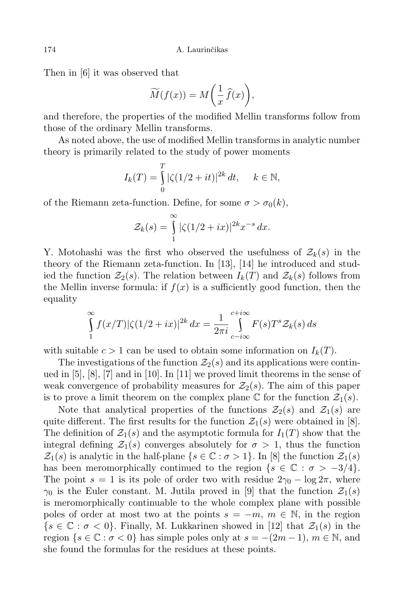Then in [6] it was observed that

$$
\widetilde{M}(f(x)) = M\bigg(\frac{1}{x}\,\widehat{f}(x)\bigg),\,
$$

and therefore, the properties of the modified Mellin transforms follow from those of the ordinary Mellin transforms.

As noted above, the use of modified Mellin transforms in analytic number theory is primarily related to the study of power moments

$$
I_k(T) = \int_{0}^{T} |\zeta(1/2 + it)|^{2k} dt, \quad k \in \mathbb{N},
$$

of the Riemann zeta-function. Define, for some  $\sigma > \sigma_0(k)$ ,

$$
\mathcal{Z}_k(s) = \int_{1}^{\infty} |\zeta(1/2 + ix)|^{2k} x^{-s} dx.
$$

Y. Motohashi was the first who observed the usefulness of  $\mathcal{Z}_k(s)$  in the theory of the Riemann zeta-function. In [13], [14] he introduced and studied the function  $\mathcal{Z}_2(s)$ . The relation between  $I_k(T)$  and  $\mathcal{Z}_k(s)$  follows from the Mellin inverse formula: if  $f(x)$  is a sufficiently good function, then the equality

$$
\int_{1}^{\infty} f(x/T) |\zeta(1/2+ix)|^{2k} dx = \frac{1}{2\pi i} \int_{c-i\infty}^{c+i\infty} F(s) T^{s} \mathcal{Z}_{k}(s) ds
$$

with suitable  $c > 1$  can be used to obtain some information on  $I_k(T)$ .

The investigations of the function  $\mathcal{Z}_2(s)$  and its applications were continued in [5], [8], [7] and in [10]. In [11] we proved limit theorems in the sense of weak convergence of probability measures for  $\mathcal{Z}_2(s)$ . The aim of this paper is to prove a limit theorem on the complex plane  $\mathbb C$  for the function  $\mathcal{Z}_1(s)$ .

Note that analytical properties of the functions  $\mathcal{Z}_2(s)$  and  $\mathcal{Z}_1(s)$  are quite different. The first results for the function  $\mathcal{Z}_1(s)$  were obtained in [8]. The definition of  $\mathcal{Z}_1(s)$  and the asymptotic formula for  $I_1(T)$  show that the integral defining  $\mathcal{Z}_1(s)$  converges absolutely for  $\sigma > 1$ , thus the function  $\mathcal{Z}_1(s)$  is analytic in the half-plane  $\{s \in \mathbb{C} : \sigma > 1\}$ . In [8] the function  $\mathcal{Z}_1(s)$ has been meromorphically continued to the region  $\{s \in \mathbb{C} : \sigma > -3/4\}.$ The point  $s = 1$  is its pole of order two with residue  $2\gamma_0 - \log 2\pi$ , where  $\gamma_0$  is the Euler constant. M. Jutila proved in [9] that the function  $\mathcal{Z}_1(s)$ is meromorphically continuable to the whole complex plane with possible poles of order at most two at the points  $s = -m$ ,  $m \in \mathbb{N}$ , in the region  $\{s \in \mathbb{C} : \sigma < 0\}$ . Finally, M. Lukkarinen showed in [12] that  $\mathcal{Z}_1(s)$  in the region  $\{s \in \mathbb{C} : \sigma < 0\}$  has simple poles only at  $s = -(2m-1), m \in \mathbb{N}$ , and she found the formulas for the residues at these points.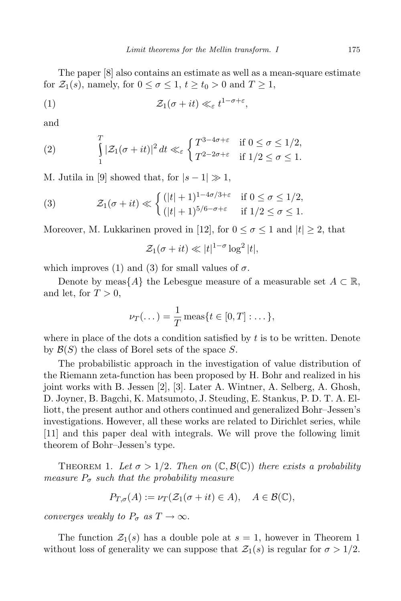The paper [8] also contains an estimate as well as a mean-square estimate for  $\mathcal{Z}_1(s)$ , namely, for  $0 \le \sigma \le 1$ ,  $t \ge t_0 > 0$  and  $T \ge 1$ ,

(1) 
$$
\mathcal{Z}_1(\sigma + it) \ll_{\varepsilon} t^{1-\sigma+\varepsilon},
$$

and

(2) 
$$
\int_{1}^{T} |\mathcal{Z}_1(\sigma + it)|^2 dt \ll_{\varepsilon} \begin{cases} T^{3-4\sigma+\varepsilon} & \text{if } 0 \le \sigma \le 1/2, \\ T^{2-2\sigma+\varepsilon} & \text{if } 1/2 \le \sigma \le 1. \end{cases}
$$

M. Jutila in [9] showed that, for  $|s-1| \gg 1$ ,

(3) 
$$
\mathcal{Z}_1(\sigma + it) \ll \begin{cases} (|t|+1)^{1-4\sigma/3+\varepsilon} & \text{if } 0 \le \sigma \le 1/2, \\ (|t|+1)^{5/6-\sigma+\varepsilon} & \text{if } 1/2 \le \sigma \le 1. \end{cases}
$$

Moreover, M. Lukkarinen proved in [12], for  $0 \le \sigma \le 1$  and  $|t| \ge 2$ , that

$$
\mathcal{Z}_1(\sigma + it) \ll |t|^{1-\sigma} \log^2 |t|,
$$

which improves (1) and (3) for small values of  $\sigma$ .

Denote by meas $\{A\}$  the Lebesgue measure of a measurable set  $A \subset \mathbb{R}$ , and let, for  $T > 0$ ,

$$
\nu_T(\dots) = \frac{1}{T} \operatorname{meas}\{t \in [0, T] : \dots\},\
$$

where in place of the dots a condition satisfied by  $t$  is to be written. Denote by  $\mathcal{B}(S)$  the class of Borel sets of the space S.

The probabilistic approach in the investigation of value distribution of the Riemann zeta-function has been proposed by H. Bohr and realized in his joint works with B. Jessen [2], [3]. Later A. Wintner, A. Selberg, A. Ghosh, D. Joyner, B. Bagchi, K. Matsumoto, J. Steuding, E. Stankus, P. D. T. A. Elliott, the present author and others continued and generalized Bohr–Jessen's investigations. However, all these works are related to Dirichlet series, while [11] and this paper deal with integrals. We will prove the following limit theorem of Bohr–Jessen's type.

THEOREM 1. Let  $\sigma > 1/2$ . Then on  $(\mathbb{C}, \mathcal{B}(\mathbb{C}))$  there exists a probability measure  $P_{\sigma}$  such that the probability measure

$$
P_{T,\sigma}(A) := \nu_T(\mathcal{Z}_1(\sigma + it) \in A), \quad A \in \mathcal{B}(\mathbb{C}),
$$

converges weakly to  $P_{\sigma}$  as  $T \to \infty$ .

The function  $\mathcal{Z}_1(s)$  has a double pole at  $s = 1$ , however in Theorem 1 without loss of generality we can suppose that  $\mathcal{Z}_1(s)$  is regular for  $\sigma > 1/2$ .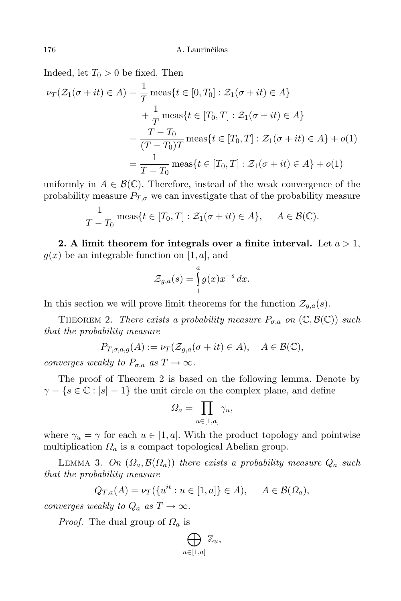Indeed, let  $T_0 > 0$  be fixed. Then

$$
\nu_T(\mathcal{Z}_1(\sigma + it) \in A) = \frac{1}{T} \operatorname{meas}\{t \in [0, T_0] : \mathcal{Z}_1(\sigma + it) \in A\}
$$

$$
+ \frac{1}{T} \operatorname{meas}\{t \in [T_0, T] : \mathcal{Z}_1(\sigma + it) \in A\}
$$

$$
= \frac{T - T_0}{(T - T_0)T} \operatorname{meas}\{t \in [T_0, T] : \mathcal{Z}_1(\sigma + it) \in A\} + o(1)
$$

$$
= \frac{1}{T - T_0} \operatorname{meas}\{t \in [T_0, T] : \mathcal{Z}_1(\sigma + it) \in A\} + o(1)
$$

uniformly in  $A \in \mathcal{B}(\mathbb{C})$ . Therefore, instead of the weak convergence of the probability measure  $P_{T,\sigma}$  we can investigate that of the probability measure

$$
\frac{1}{T-T_0} \operatorname{meas}\{t \in [T_0, T] : \mathcal{Z}_1(\sigma + it) \in A\}, \quad A \in \mathcal{B}(\mathbb{C}).
$$

2. A limit theorem for integrals over a finite interval. Let  $a > 1$ ,  $g(x)$  be an integrable function on [1, a], and

$$
\mathcal{Z}_{g,a}(s) = \int_{1}^{a} g(x)x^{-s} dx.
$$

In this section we will prove limit theorems for the function  $\mathcal{Z}_{q,a}(s)$ .

THEOREM 2. There exists a probability measure  $P_{\sigma,a}$  on  $(\mathbb{C},\mathcal{B}(\mathbb{C}))$  such that the probability measure

$$
P_{T,\sigma,a,g}(A) := \nu_T(\mathcal{Z}_{g,a}(\sigma + it) \in A), \quad A \in \mathcal{B}(\mathbb{C}),
$$

converges weakly to  $P_{\sigma,a}$  as  $T \to \infty$ .

The proof of Theorem 2 is based on the following lemma. Denote by  $\gamma = \{s \in \mathbb{C} : |s| = 1\}$  the unit circle on the complex plane, and define

$$
\Omega_a = \prod_{u \in [1, a]} \gamma_u,
$$

where  $\gamma_u = \gamma$  for each  $u \in [1, a]$ . With the product topology and pointwise multiplication  $\Omega_a$  is a compact topological Abelian group.

LEMMA 3. On  $(\Omega_a, \mathcal{B}(\Omega_a))$  there exists a probability measure  $Q_a$  such that the probability measure

$$
Q_{T,a}(A) = \nu_T(\{u^{it} : u \in [1, a]\} \in A), \quad A \in \mathcal{B}(\Omega_a),
$$

converges weakly to  $Q_a$  as  $T \to \infty$ .

*Proof.* The dual group of  $\Omega_a$  is

$$
\bigoplus_{u\in [1,a]}\mathbb{Z}_u,
$$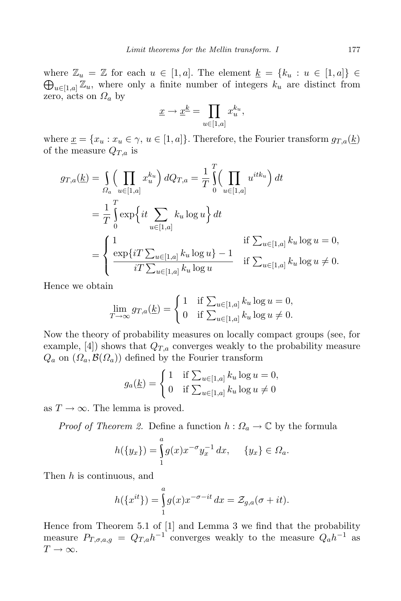where  $\mathbb{Z}_u = \mathbb{Z}$  for each  $u \in [1, a]$ . The element  $\underline{k} = \{k_u : u \in [1, a]\} \in$  $\bigoplus_{u\in[1,a]} \mathbb{Z}_u$ , where only a finite number of integers  $k_u$  are distinct from zero, acts on  $\Omega_a$  by

$$
\underline{x} \to \underline{x}^{\underline{k}} = \prod_{u \in [1, a]} x_u^{k_u},
$$

where  $\underline{x} = \{x_u : x_u \in \gamma, u \in [1, a]\}.$  Therefore, the Fourier transform  $g_{T,a}(\underline{k})$ of the measure  $Q_{T,a}$  is

$$
g_{T,a}(\underline{k}) = \int_{\Omega_a} \left( \prod_{u \in [1,a]} x_u^{k_u} \right) dQ_{T,a} = \frac{1}{T} \int_0^T \left( \prod_{u \in [1,a]} u^{itk_u} \right) dt
$$
  
=  $\frac{1}{T} \int_0^T \exp\left\{ it \sum_{u \in [1,a]} k_u \log u \right\} dt$   
=  $\begin{cases} 1 & \text{if } \sum_{u \in [1,a]} k_u \log u = 0, \\ \frac{\exp\{iT \sum_{u \in [1,a]} k_u \log u\} - 1}{iT \sum_{u \in [1,a]} k_u \log u} & \text{if } \sum_{u \in [1,a]} k_u \log u \neq 0. \end{cases}$ 

Hence we obtain

$$
\lim_{T \to \infty} g_{T,a}(\underline{k}) = \begin{cases} 1 & \text{if } \sum_{u \in [1,a]} k_u \log u = 0, \\ 0 & \text{if } \sum_{u \in [1,a]} k_u \log u \neq 0. \end{cases}
$$

Now the theory of probability measures on locally compact groups (see, for example,  $[4]$ ) shows that  $Q_{T,a}$  converges weakly to the probability measure  $Q_a$  on  $(\Omega_a, \mathcal{B}(\Omega_a))$  defined by the Fourier transform

$$
g_a(\underline{k}) = \begin{cases} 1 & \text{if } \sum_{u \in [1, a]} k_u \log u = 0, \\ 0 & \text{if } \sum_{u \in [1, a]} k_u \log u \neq 0 \end{cases}
$$

as  $T \to \infty$ . The lemma is proved.

*Proof of Theorem 2.* Define a function  $h: \Omega_a \to \mathbb{C}$  by the formula

$$
h({y_x}) = \int_{1}^{a} g(x)x^{-\sigma} y_x^{-1} dx, \quad {y_x} \in \Omega_a.
$$

Then h is continuous, and

$$
h({x^{it}}) = \int_{1}^{a} g(x)x^{-\sigma - it} dx = \mathcal{Z}_{g,a}(\sigma + it).
$$

Hence from Theorem 5.1 of [1] and Lemma 3 we find that the probability measure  $P_{T,\sigma,a,g} = Q_{T,a}h^{-1}$  converges weakly to the measure  $Q_a h^{-1}$  as  $T \to \infty$ .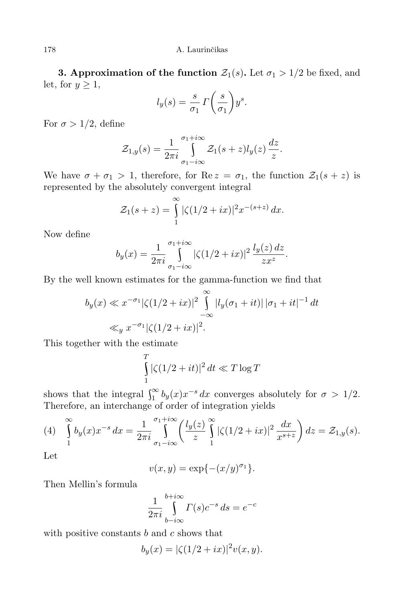**3. Approximation of the function**  $\mathcal{Z}_1(s)$ **.** Let  $\sigma_1 > 1/2$  be fixed, and let, for  $y \geq 1$ ,

$$
l_y(s) = \frac{s}{\sigma_1} \Gamma\left(\frac{s}{\sigma_1}\right) y^s.
$$

For  $\sigma > 1/2$ , define

$$
\mathcal{Z}_{1,y}(s) = \frac{1}{2\pi i} \int_{\sigma_1 - i\infty}^{\sigma_1 + i\infty} \mathcal{Z}_1(s+z) l_y(z) \frac{dz}{z}
$$

.

We have  $\sigma + \sigma_1 > 1$ , therefore, for Re  $z = \sigma_1$ , the function  $\mathcal{Z}_1(s + z)$  is represented by the absolutely convergent integral

$$
\mathcal{Z}_1(s+z) = \int_{1}^{\infty} |\zeta(1/2+ix)|^2 x^{-(s+z)} dx.
$$

Now define

$$
b_y(x) = \frac{1}{2\pi i} \int_{\sigma_1 - i\infty}^{\sigma_1 + i\infty} |\zeta(1/2 + ix)|^2 \frac{l_y(z) \, dz}{zx^z}.
$$

By the well known estimates for the gamma-function we find that

$$
b_y(x) \ll x^{-\sigma_1} |\zeta(1/2 + ix)|^2 \int_{-\infty}^{\infty} |l_y(\sigma_1 + it)| |\sigma_1 + it|^{-1} dt
$$
  

$$
\ll_y x^{-\sigma_1} |\zeta(1/2 + ix)|^2.
$$

This together with the estimate

$$
\int_{1}^{T} |\zeta(1/2+it)|^2 dt \ll T \log T
$$

shows that the integral  $\int_{1}^{\infty} b_y(x) x^{-s} dx$  converges absolutely for  $\sigma > 1/2$ . Therefore, an interchange of order of integration yields

(4) 
$$
\int_{1}^{\infty} b_y(x) x^{-s} dx = \frac{1}{2\pi i} \int_{\sigma_1 - i\infty}^{\sigma_1 + i\infty} \left( \frac{l_y(z)}{z} \int_{1}^{\infty} |\zeta(1/2 + ix)|^2 \frac{dx}{x^{s+z}} \right) dz = \mathcal{Z}_{1,y}(s).
$$

Let

$$
v(x,y) = \exp\{- (x/y)^{\sigma_1}\}.
$$

Then Mellin's formula

$$
\frac{1}{2\pi i} \int_{b-i\infty}^{b+i\infty} \Gamma(s) c^{-s} ds = e^{-c}
$$

with positive constants  $b$  and  $c$  shows that

$$
b_y(x) = |\zeta(1/2 + ix)|^2 v(x, y).
$$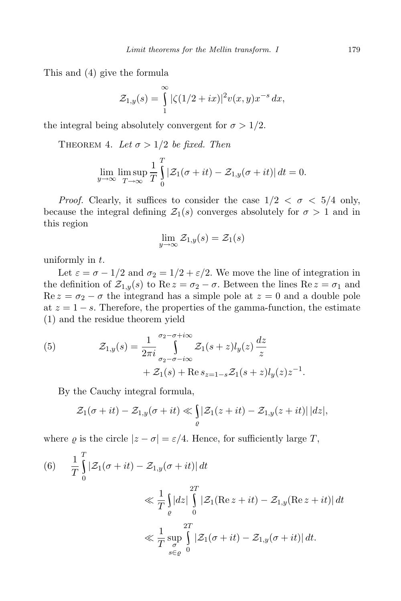This and (4) give the formula

$$
\mathcal{Z}_{1,y}(s) = \int_{1}^{\infty} |\zeta(1/2 + ix)|^2 v(x, y) x^{-s} dx,
$$

the integral being absolutely convergent for  $\sigma > 1/2$ .

THEOREM 4. Let  $\sigma > 1/2$  be fixed. Then

$$
\lim_{y \to \infty} \limsup_{T \to \infty} \frac{1}{T} \int_{0}^{T} |\mathcal{Z}_1(\sigma + it) - \mathcal{Z}_{1,y}(\sigma + it)| dt = 0.
$$

*Proof.* Clearly, it suffices to consider the case  $1/2 < \sigma < 5/4$  only, because the integral defining  $\mathcal{Z}_1(s)$  converges absolutely for  $\sigma > 1$  and in this region

$$
\lim_{y \to \infty} \mathcal{Z}_{1,y}(s) = \mathcal{Z}_1(s)
$$

uniformly in  $t$ .

Let  $\varepsilon = \sigma - 1/2$  and  $\sigma_2 = 1/2 + \varepsilon/2$ . We move the line of integration in the definition of  $\mathcal{Z}_{1,y}(s)$  to Re  $z = \sigma_2 - \sigma$ . Between the lines Re  $z = \sigma_1$  and  $\text{Re } z = \sigma_2 - \sigma$  the integrand has a simple pole at  $z = 0$  and a double pole at  $z = 1 - s$ . Therefore, the properties of the gamma-function, the estimate (1) and the residue theorem yield

(5) 
$$
\mathcal{Z}_{1,y}(s) = \frac{1}{2\pi i} \int_{\sigma_2 - \sigma - i\infty}^{\sigma_2 - \sigma + i\infty} \mathcal{Z}_1(s+z) l_y(z) \frac{dz}{z} + \mathcal{Z}_1(s) + \text{Re } s_{z=1-s} \mathcal{Z}_1(s+z) l_y(z) z^{-1}.
$$

By the Cauchy integral formula,

$$
\mathcal{Z}_1(\sigma + it) - \mathcal{Z}_{1,y}(\sigma + it) \ll \int\limits_{\varrho} |\mathcal{Z}_1(z + it) - \mathcal{Z}_{1,y}(z + it)| \, |dz|,
$$

where  $\varrho$  is the circle  $|z - \sigma| = \varepsilon/4$ . Hence, for sufficiently large T,

(6) 
$$
\frac{1}{T} \int_{0}^{T} |\mathcal{Z}_1(\sigma + it) - \mathcal{Z}_{1,y}(\sigma + it)| dt
$$
  
\n
$$
\ll \frac{1}{T} \int_{\varrho} |dz| \int_{0}^{2T} |\mathcal{Z}_1(\text{Re } z + it) - \mathcal{Z}_{1,y}(\text{Re } z + it)| dt
$$
  
\n
$$
\ll \frac{1}{T} \sup_{\substack{\sigma \\ s \in \varrho}} \int_{0}^{2T} |\mathcal{Z}_1(\sigma + it) - \mathcal{Z}_{1,y}(\sigma + it)| dt.
$$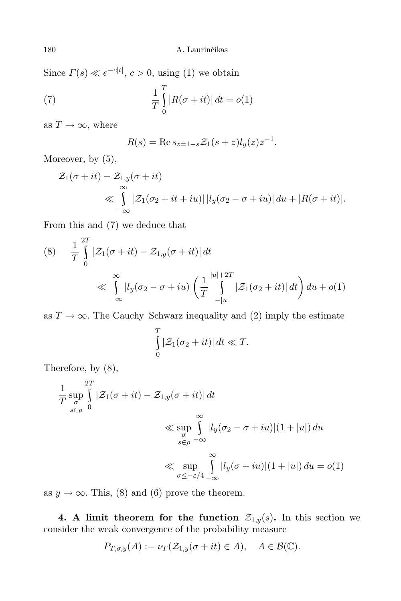Since  $\Gamma(s) \ll e^{-c|t|}, c > 0$ , using (1) we obtain

(7) 
$$
\frac{1}{T} \int_{0}^{T} |R(\sigma + it)| dt = o(1)
$$

as  $T \to \infty$ , where

$$
R(s) = \operatorname{Re} s_{z=1-s} \mathcal{Z}_1(s+z) l_y(z) z^{-1}.
$$

Moreover, by  $(5)$ ,

$$
\mathcal{Z}_1(\sigma + it) - \mathcal{Z}_{1,y}(\sigma + it)
$$
  
\$\leq \int\_{-\infty}^{\infty} |\mathcal{Z}\_1(\sigma\_2 + it + iu)| |l\_y(\sigma\_2 - \sigma + iu)| du + |R(\sigma + it)|\$.

From this and (7) we deduce that

$$
(8) \quad \frac{1}{T} \int_{0}^{2T} |\mathcal{Z}_1(\sigma + it) - \mathcal{Z}_{1,y}(\sigma + it)| dt
$$
  

$$
\ll \int_{-\infty}^{\infty} |l_y(\sigma_2 - \sigma + iu)| \left( \frac{1}{T} \int_{-|u|}^{|u|+2T} |\mathcal{Z}_1(\sigma_2 + it)| dt \right) du + o(1)
$$

as  $T \to \infty$ . The Cauchy–Schwarz inequality and (2) imply the estimate

$$
\int_{0}^{T} |\mathcal{Z}_1(\sigma_2+it)| dt \ll T.
$$

Therefore, by (8),

$$
\frac{1}{T} \sup_{\substack{\sigma \\ s \in \varrho}} \int_{0}^{2T} |\mathcal{Z}_{1}(\sigma + it) - \mathcal{Z}_{1,y}(\sigma + it)| dt
$$
\n
$$
\ll \sup_{\substack{\sigma \\ s \in \rho}} \int_{-\infty}^{\infty} |l_{y}(\sigma_{2} - \sigma + iu)| (1 + |u|) du
$$
\n
$$
\ll \sup_{\substack{\sigma \\ \sigma \le -\varepsilon/4}} \int_{-\infty}^{\infty} |l_{y}(\sigma + iu)| (1 + |u|) du = o(1)
$$

as  $y \to \infty$ . This, (8) and (6) prove the theorem.

4. A limit theorem for the function  $\mathcal{Z}_{1,y}(s)$ . In this section we consider the weak convergence of the probability measure

$$
P_{T,\sigma,y}(A) := \nu_T(\mathcal{Z}_{1,y}(\sigma + it) \in A), \quad A \in \mathcal{B}(\mathbb{C}).
$$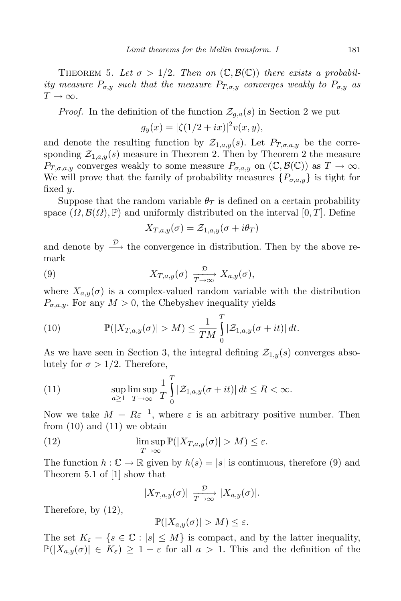THEOREM 5. Let  $\sigma > 1/2$ . Then on  $(\mathbb{C}, \mathcal{B}(\mathbb{C}))$  there exists a probability measure  $P_{\sigma,y}$  such that the measure  $P_{T,\sigma,y}$  converges weakly to  $P_{\sigma,y}$  as  $T \to \infty$ .

*Proof.* In the definition of the function  $\mathcal{Z}_{q,a}(s)$  in Section 2 we put  $g_y(x) = |\zeta(1/2 + ix)|^2 v(x, y),$ 

and denote the resulting function by  $\mathcal{Z}_{1,a,y}(s)$ . Let  $P_{T,\sigma,a,y}$  be the corresponding  $\mathcal{Z}_{1,a,y}(s)$  measure in Theorem 2. Then by Theorem 2 the measure  $P_{T,\sigma,a,y}$  converges weakly to some measure  $P_{\sigma,a,y}$  on  $(\mathbb{C},\mathcal{B}(\mathbb{C}))$  as  $T\to\infty$ . We will prove that the family of probability measures  $\{P_{\sigma,a,y}\}\$ is tight for fixed y.

Suppose that the random variable  $\theta_T$  is defined on a certain probability space  $(\Omega, \mathcal{B}(\Omega), \mathbb{P})$  and uniformly distributed on the interval  $[0, T]$ . Define

$$
X_{T,a,y}(\sigma) = \mathcal{Z}_{1,a,y}(\sigma + i\theta_T)
$$

and denote by  $\stackrel{\mathcal{D}}{\longrightarrow}$  the convergence in distribution. Then by the above remark

(9) 
$$
X_{T,a,y}(\sigma) \xrightarrow[T \to \infty]{\mathcal{D}} X_{a,y}(\sigma),
$$

where  $X_{a,y}(\sigma)$  is a complex-valued random variable with the distribution  $P_{\sigma,a,y}$ . For any  $M > 0$ , the Chebyshev inequality yields

(10) 
$$
\mathbb{P}(|X_{T,a,y}(\sigma)| > M) \leq \frac{1}{TM} \int_{0}^{T} |\mathcal{Z}_{1,a,y}(\sigma+it)| dt.
$$

As we have seen in Section 3, the integral defining  $\mathcal{Z}_{1,y}(s)$  converges absolutely for  $\sigma > 1/2$ . Therefore,

(11) 
$$
\sup_{a\geq 1}\limsup_{T\to\infty}\frac{1}{T}\int_{0}^{T}|\mathcal{Z}_{1,a,y}(\sigma+it)| dt \leq R < \infty.
$$

Now we take  $M = R\varepsilon^{-1}$ , where  $\varepsilon$  is an arbitrary positive number. Then from (10) and (11) we obtain

(12) 
$$
\limsup_{T \to \infty} \mathbb{P}(|X_{T,a,y}(\sigma)| > M) \le \varepsilon.
$$

The function  $h: \mathbb{C} \to \mathbb{R}$  given by  $h(s) = |s|$  is continuous, therefore (9) and Theorem 5.1 of [1] show that

$$
|X_{T,a,y}(\sigma)| \xrightarrow[T \to \infty]{\mathcal{D}} |X_{a,y}(\sigma)|.
$$

Therefore, by (12),

$$
\mathbb{P}(|X_{a,y}(\sigma)| > M) \leq \varepsilon.
$$

The set  $K_{\varepsilon} = \{s \in \mathbb{C} : |s| \leq M\}$  is compact, and by the latter inequality,  $\mathbb{P}(|X_{a,y}(\sigma)| \in K_{\varepsilon}) \geq 1 - \varepsilon$  for all  $a > 1$ . This and the definition of the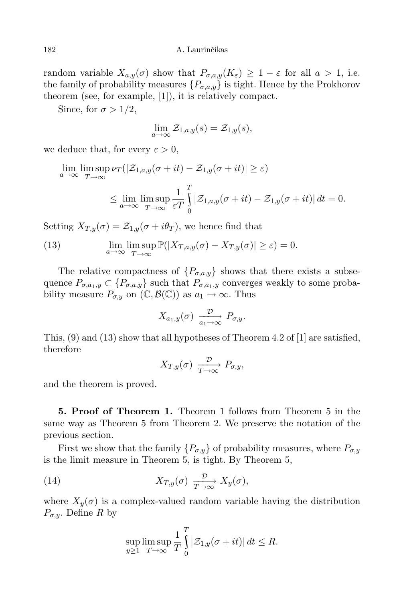random variable  $X_{a,y}(\sigma)$  show that  $P_{\sigma,a,y}(K_{\varepsilon}) \geq 1 - \varepsilon$  for all  $a > 1$ , i.e. the family of probability measures  $\{P_{\sigma,a,y}\}\$ is tight. Hence by the Prokhorov theorem (see, for example, [1]), it is relatively compact.

Since, for  $\sigma > 1/2$ ,

$$
\lim_{a \to \infty} \mathcal{Z}_{1,a,y}(s) = \mathcal{Z}_{1,y}(s),
$$

we deduce that, for every  $\varepsilon > 0$ ,

$$
\lim_{a \to \infty} \limsup_{T \to \infty} \nu_T(|\mathcal{Z}_{1,a,y}(\sigma + it) - \mathcal{Z}_{1,y}(\sigma + it)| \ge \varepsilon)
$$
  

$$
\le \lim_{a \to \infty} \limsup_{T \to \infty} \frac{1}{\varepsilon T} \int_0^T |\mathcal{Z}_{1,a,y}(\sigma + it) - \mathcal{Z}_{1,y}(\sigma + it)| dt = 0.
$$

Setting  $X_{T,y}(\sigma) = \mathcal{Z}_{1,y}(\sigma + i\theta_T)$ , we hence find that

(13) 
$$
\lim_{a \to \infty} \lim_{T \to \infty} \mathbb{P}(|X_{T,a,y}(\sigma) - X_{T,y}(\sigma)| \geq \varepsilon) = 0.
$$

The relative compactness of  $\{P_{\sigma,a,y}\}\$  shows that there exists a subsequence  $P_{\sigma,a_1,y} \subset \{P_{\sigma,a,y}\}\$  such that  $P_{\sigma,a_1,y}$  converges weakly to some probability measure  $P_{\sigma,y}$  on  $(\mathbb{C}, \mathcal{B}(\mathbb{C}))$  as  $a_1 \to \infty$ . Thus

$$
X_{a_1,y}(\sigma) \xrightarrow[a_1 \to \infty]{} P_{\sigma,y}.
$$

This,  $(9)$  and  $(13)$  show that all hypotheses of Theorem 4.2 of [1] are satisfied, therefore

$$
X_{T,y}(\sigma) \xrightarrow[T \to \infty]{} P_{\sigma,y},
$$

and the theorem is proved.

5. Proof of Theorem 1. Theorem 1 follows from Theorem 5 in the same way as Theorem 5 from Theorem 2. We preserve the notation of the previous section.

First we show that the family  $\{P_{\sigma,y}\}$  of probability measures, where  $P_{\sigma,y}$ is the limit measure in Theorem 5, is tight. By Theorem 5,

(14) 
$$
X_{T,y}(\sigma) \xrightarrow[T \to \infty]{} X_y(\sigma),
$$

where  $X_y(\sigma)$  is a complex-valued random variable having the distribution  $P_{\sigma,y}$ . Define R by

$$
\sup_{y\geq 1} \limsup_{T\to\infty} \frac{1}{T} \int_{0}^{T} |\mathcal{Z}_{1,y}(\sigma+it)| dt \leq R.
$$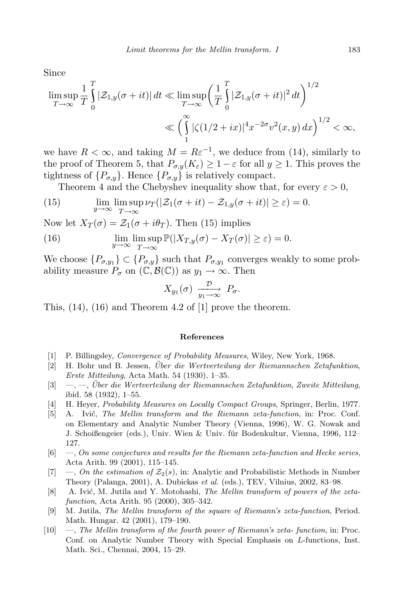Since

$$
\limsup_{T \to \infty} \frac{1}{T} \int_{0}^{T} |\mathcal{Z}_{1,y}(\sigma + it)| dt \ll \limsup_{T \to \infty} \left(\frac{1}{T} \int_{0}^{T} |\mathcal{Z}_{1,y}(\sigma + it)|^{2} dt\right)^{1/2}
$$

$$
\ll \left(\int_{1}^{\infty} |\zeta(1/2 + ix)|^{4} x^{-2\sigma} v^{2}(x, y) dx\right)^{1/2} < \infty,
$$

we have  $R < \infty$ , and taking  $M = R\varepsilon^{-1}$ , we deduce from (14), similarly to the proof of Theorem 5, that  $P_{\sigma,y}(K_{\varepsilon}) \geq 1 - \varepsilon$  for all  $y \geq 1$ . This proves the tightness of  $\{P_{\sigma,y}\}\.$  Hence  $\{P_{\sigma,y}\}\$ is relatively compact.

Theorem 4 and the Chebyshev inequality show that, for every  $\varepsilon > 0$ ,

(15) 
$$
\lim_{y \to \infty} \lim_{T \to \infty} \sup \nu_T(|\mathcal{Z}_1(\sigma + it) - \mathcal{Z}_{1,y}(\sigma + it)| \geq \varepsilon) = 0.
$$

Now let  $X_T(\sigma) = \mathcal{Z}_1(\sigma + i\theta_T)$ . Then (15) implies

(16) 
$$
\lim_{y \to \infty} \lim_{T \to \infty} \mathbb{P}(|X_{T,y}(\sigma) - X_T(\sigma)| \ge \varepsilon) = 0.
$$

We choose  $\{P_{\sigma,y_1}\}\subset \{P_{\sigma,y}\}\$  such that  $P_{\sigma,y_1}$  converges weakly to some probability measure  $P_{\sigma}$  on  $(\mathbb{C}, \mathcal{B}(\mathbb{C}))$  as  $y_1 \to \infty$ . Then

$$
X_{y_1}(\sigma) \xrightarrow[y_1 \to \infty]{\mathcal{D}} P_{\sigma}.
$$

This, (14), (16) and Theorem 4.2 of [1] prove the theorem.

### References

- [1] P. Billingsley, Convergence of Probability Measures, Wiley, New York, 1968.
- $[2]$  H. Bohr und B. Jessen, Über die Wertverteilung der Riemannschen Zetafunktion, Erste Mitteilung, Acta Math. 54 (1930), 1–35.
- $[3] \quad -,-$ , Über die Wertverteilung der Riemannschen Zetafunktion, Zweite Mitteilung, ibid. 58 (1932), 1–55.
- [4] H. Heyer, Probability Measures on Locally Compact Groups, Springer, Berlin, 1977.
- [5] A. Ivić, The Mellin transform and the Riemann zeta-function, in: Proc. Conf. on Elementary and Analytic Number Theory (Vienna, 1996), W. G. Nowak and J. Schoißengeier (eds.), Univ. Wien & Univ. für Bodenkultur, Vienna, 1996, 112– 127.
- [6] —, On some conjectures and results for the Riemann zeta-function and Hecke series, Acta Arith. 99 (2001), 115–145.
- [7] —, On the estimation of  $\mathcal{Z}_2(s)$ , in: Analytic and Probabilistic Methods in Number Theory (Palanga, 2001), A. Dubickas et al. (eds.), TEV, Vilnius, 2002, 83–98.
- [8] A. Ivić, M. Jutila and Y. Motohashi, The Mellin transform of powers of the zetafunction, Acta Arith. 95 (2000), 305–342.
- [9] M. Jutila, The Mellin transform of the square of Riemann's zeta-function, Period. Math. Hungar. 42 (2001), 179–190.
- [10] —, The Mellin transform of the fourth power of Riemann's zeta- function, in: Proc. Conf. on Analytic Number Theory with Special Emphasis on L-functions, Inst. Math. Sci., Chennai, 2004, 15–29.